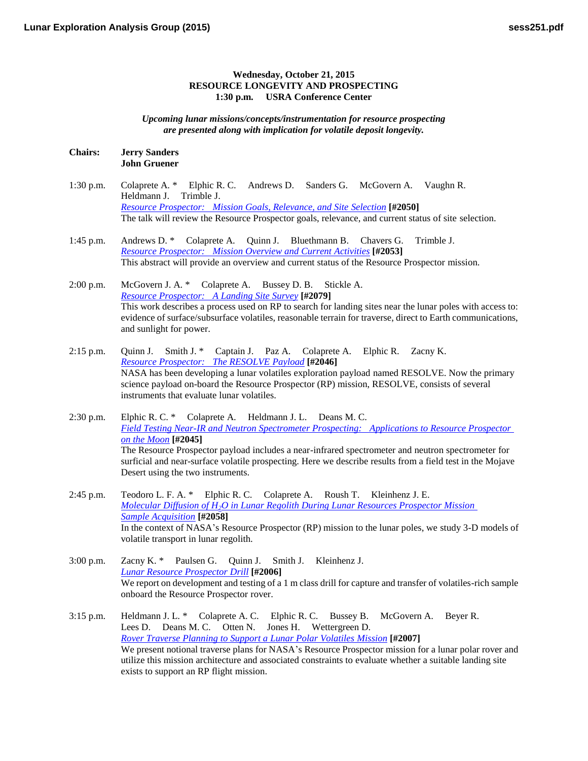## **Wednesday, October 21, 2015 RESOURCE LONGEVITY AND PROSPECTING 1:30 p.m. USRA Conference Center**

*Upcoming lunar missions/concepts/instrumentation for resource prospecting are presented along with implication for volatile deposit longevity.*

## **Chairs: Jerry Sanders John Gruener**

- 1:30 p.m. Colaprete A. \* Elphic R. C. Andrews D. Sanders G. McGovern A. Vaughn R. Heldmann J. Trimble J. *[Resource Prospector: Mission Goals, Relevance, and Site](http://www.hou.usra.edu/meetings/leag2015/pdf/2050.pdf) Selection* **[#2050]** The talk will review the Resource Prospector goals, relevance, and current status of site selection.
- 1:45 p.m. Andrews D. \* Colaprete A. Quinn J. Bluethmann B. Chavers G. Trimble J. *[Resource Prospector: Mission Overview and Current](http://www.hou.usra.edu/meetings/leag2015/pdf/2053.pdf) Activities* **[#2053]** This abstract will provide an overview and current status of the Resource Prospector mission.

2:00 p.m. McGovern J. A. \* Colaprete A. Bussey D. B. Stickle A. *[Resource Prospector: A Landing Site](http://www.hou.usra.edu/meetings/leag2015/pdf/2079.pdf) Survey* **[#2079]** This work describes a process used on RP to search for landing sites near the lunar poles with access to: evidence of surface/subsurface volatiles, reasonable terrain for traverse, direct to Earth communications, and sunlight for power.

- 2:15 p.m. Quinn J. Smith J. \* Captain J. Paz A. Colaprete A. Elphic R. Zacny K. *[Resource Prospector: The RESOLVE](http://www.hou.usra.edu/meetings/leag2015/pdf/2046.pdf) Payload* **[#2046]** NASA has been developing a lunar volatiles exploration payload named RESOLVE. Now the primary science payload on-board the Resource Prospector (RP) mission, RESOLVE, consists of several instruments that evaluate lunar volatiles.
- 2:30 p.m. Elphic R. C. \* Colaprete A. Heldmann J. L. Deans M. C. *[Field Testing Near-IR and Neutron Spectrometer Prospecting: Applications to Resource Prospector](http://www.hou.usra.edu/meetings/leag2015/pdf/2045.pdf)  [on the](http://www.hou.usra.edu/meetings/leag2015/pdf/2045.pdf) Moon* **[#2045]** The Resource Prospector payload includes a near-infrared spectrometer and neutron spectrometer for surficial and near-surface volatile prospecting. Here we describe results from a field test in the Mojave Desert using the two instruments.
- 2:45 p.m. Teodoro L. F. A. \* Elphic R. C. Colaprete A. Roush T. Kleinhenz J. E. *Molecular Diffusion of H2[O in Lunar Regolith During Lunar Resources Prospector Mission](http://www.hou.usra.edu/meetings/leag2015/pdf/2058.pdf)  Sample [Acquisition](http://www.hou.usra.edu/meetings/leag2015/pdf/2058.pdf)* **[#2058]** In the context of NASA's Resource Prospector (RP) mission to the lunar poles, we study 3-D models of volatile transport in lunar regolith.
- 3:00 p.m. Zacny K. \* Paulsen G. Quinn J. Smith J. Kleinhenz J. *[Lunar Resource Prospector](http://www.hou.usra.edu/meetings/leag2015/pdf/2006.pdf) Drill* **[#2006]** We report on development and testing of a 1 m class drill for capture and transfer of volatiles-rich sample onboard the Resource Prospector rover.
- 3:15 p.m. Heldmann J. L. \* Colaprete A. C. Elphic R. C. Bussey B. McGovern A. Beyer R. Lees D. Deans M. C. Otten N. Jones H. Wettergreen D. *[Rover Traverse Planning to Support a Lunar Polar Volatiles](http://www.hou.usra.edu/meetings/leag2015/pdf/2007.pdf) Mission* **[#2007]** We present notional traverse plans for NASA's Resource Prospector mission for a lunar polar rover and utilize this mission architecture and associated constraints to evaluate whether a suitable landing site exists to support an RP flight mission.